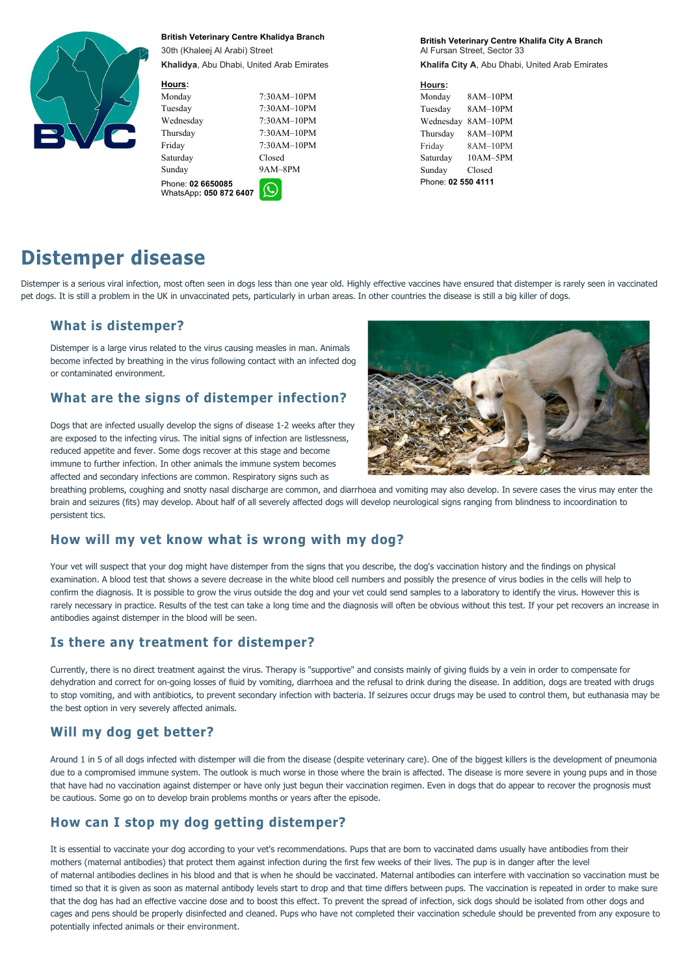

British Veterinary Centre Khalidya Branch

30th (Khaleej Al Arabi) Street Khalidya, Abu Dhabi, United Arab Emirates

#### Hours:

Tuesday 7:30AM–10PM Wednesday 7:30AM–10PM Thursday 7:30AM–10PM Friday 7:30AM–10PM

Monday 7:30AM–10PM Saturday Closed Sunday 9AM–8PM

Phone: 02 6650085 WhatsApp: 050 872 6407



British Veterinary Centre Khalifa City A Branch Al Fursan Street, Sector 33 Khalifa City A, Abu Dhabi, United Arab Emirates

#### Hours:

Monday 8AM–10PM Tuesday 8AM–10PM Wednesday 8AM–10PM Thursday 8AM–10PM Friday 8AM–10PM Saturday 10AM–5PM Sunday Closed Phone: 02 550 4111

# Distemper disease

Distemper is a serious viral infection, most often seen in dogs less than one year old. Highly effective vaccines have ensured that distemper is rarely seen in vaccinated pet dogs. It is still a problem in the UK in unvaccinated pets, particularly in urban areas. In other countries the disease is still a big killer of dogs.

### What is distemper?

Distemper is a large virus related to the virus causing measles in man. Animals become infected by breathing in the virus following contact with an infected dog

# or contaminated environment.<br>What are the signs of distemper infection?

Your vet will suspect that your dog might have distemper from the signs that you describe, the dog's vaccination history and the findings on physical examination. A blood test that shows a severe decrease in the white blood cell numbers and possibly the presence of virus bodies in the cells will help to confirm the diagnosis. It is possible to grow the virus outside the dog and your vet could send samples to a laboratory to identify the virus. However this is rarely necessary in practice. Results of the test can take a long time and the diagnosis will often be obvious without this test. If your pet recovers an increase in antibodies against distemper in the blood will be seen.

Dogs that are infected usually develop the signs of disease 1-2 weeks after they are exposed to the infecting virus. The initial signs of infection are listlessness, reduced appetite and fever. Some dogs recover at this stage and become immune to further infection. In other animals the immune system becomes affected and secondary infections are common. Respiratory signs such as



breathing problems, coughing and snotty nasal discharge are common, and diarrhoea and vomiting may also develop. In severe cases the virus may enter the brain and seizures (fits) may develop. About half of all severely affected dogs will develop neurological signs ranging from blindness to incoordination to persistent tics.

#### How will my vet know what is wrong with my dog?

#### Is there any treatment for distemper?

Currently, there is no direct treatment against the virus. Therapy is "supportive" and consists mainly of giving fluids by a vein in order to compensate for dehydration and correct for on-going losses of fluid by vomiting, diarrhoea and the refusal to drink during the disease. In addition, dogs are treated with drugs to stop vomiting, and with antibiotics, to prevent secondary infection with bacteria. If seizures occur drugs may be used to control them, but euthanasia may be the best option in very severely affected animals.

# Will my dog get better?



Around 1 in 5 of all dogs infected with distemper will die from the disease (despite veterinary care). One of the biggest killers is the development of pneumonia due to a compromised immune system. The outlook is much worse in those where the brain is affected. The disease is more severe in young pups and in those that have had no vaccination against distemper or have only just begun their vaccination regimen. Even in dogs that do appear to recover the prognosis must be cautious. Some go on to develop brain problems months or years after the episode.

#### How can I stop my dog getting distemper?

It is essential to vaccinate your dog according to your vet's recommendations. Pups that are born to vaccinated dams usually have antibodies from their mothers (maternal antibodies) that protect them against infection during the first few weeks of their lives. The pup is in danger after the level of maternal antibodies declines in his blood and that is when he should be vaccinated. Maternal antibodies can interfere with vaccination so vaccination must be timed so that it is given as soon as maternal antibody levels start to drop and that time differs between pups. The vaccination is repeated in order to make sure that the dog has had an effective vaccine dose and to boost this effect. To prevent the spread of infection, sick dogs should be isolated from other dogs and cages and pens should be properly disinfected and cleaned. Pups who have not completed their vaccination schedule should be prevented from any exposure to potentially infected animals or their environment.